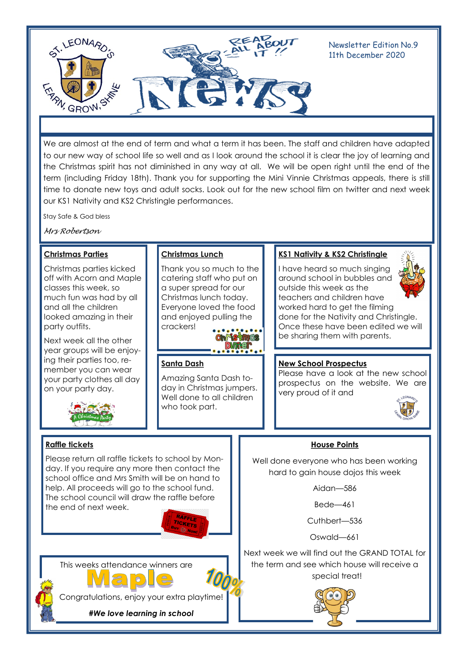

Newsletter Edition No.9 11th December 2020

We are almost at the end of term and what a term it has been. The staff and children have adapted to our new way of school life so well and as I look around the school it is clear the joy of learning and the Christmas spirit has not diminished in any way at all. We will be open right until the end of the term (including Friday 18th). Thank you for supporting the Mini Vinnie Christmas appeals, there is still time to donate new toys and adult socks. Look out for the new school film on twitter and next week our KS1 Nativity and KS2 Christingle performances.

Stay Safe & God bless

*Mrs Robertson*

### **Christmas Parties**

Christmas parties kicked off with Acorn and Maple classes this week, so much fun was had by all and all the children looked amazing in their party outfits.

Next week all the other year groups will be enjoying their parties too, remember you can wear your party clothes all day on your party day.



**Raffle tickets**

### **Christmas Lunch**

Thank you so much to the catering staff who put on a super spread for our Christmas lunch today. Everyone loved the food and enjoyed pulling the crackers!

 $\bullet \bullet \bullet \bullet \bullet \bullet \bullet \bullet \bullet$ h is ines DAMNG

# **Santa Dash**

Amazing Santa Dash today in Christmas jumpers. Well done to all children who took part.

# **KS1 Nativity & KS2 Christingle**

I have heard so much singing around school in bubbles and outside this week as the teachers and children have worked hard to get the filming done for the Nativity and Christingle. Once these have been edited we will be sharing them with parents.



#### **New School Prospectus**

Please have a look at the new school prospectus on the website. We are very proud of it and



# **House Points**

Well done everyone who has been working hard to gain house dojos this week

Aidan—586

Bede—461

Cuthbert—536

Oswald—661

Next week we will find out the GRAND TOTAL for the term and see which house will receive a special treat!



the end of next week.



This weeks attendance winners are

Please return all raffle tickets to school by Monday. If you require any more then contact the school office and Mrs Smith will be on hand to help. All proceeds will go to the school fund. The school council will draw the raffle before



Congratulations, enjoy your extra playtime!

*#We love learning in school*